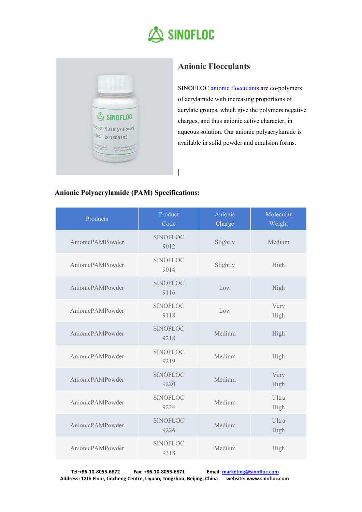

**|**



## **Anionic Flocculants**

SINOFLOC anionic [flocculants](http://www.sinofloc.com/product/anionic-flocculants/) are co-polymers of acrylamide with increasing proportions of acrylate groups, which give the polymers negative charges, and thus anionic active character, in aqueous solution. Our anionic polyacrylamide is available in solid powder and emulsion forms.

## **Anionic Polyacrylamide (PAM) Specifications:**

| Products         | Product<br>Code         | Anionic<br>Charge | Molecular<br>Weight |
|------------------|-------------------------|-------------------|---------------------|
| AnionicPAMPowder | <b>SINOFLOC</b><br>9012 | Slightly          | Medium              |
| AnionicPAMPowder | <b>SINOFLOC</b><br>9014 | Slightly          | High                |
| AnionicPAMPowder | <b>SINOFLOC</b><br>9116 | Low               | High                |
| AnionicPAMPowder | <b>SINOFLOC</b><br>9118 | Low               | Very<br>High        |
| AnionicPAMPowder | <b>SINOFLOC</b><br>9218 | Medium            | High                |
| AnionicPAMPowder | <b>SINOFLOC</b><br>9219 | Medium            | High                |
| AnionicPAMPowder | <b>SINOFLOC</b><br>9220 | Medium            | Very<br>High        |
| AnionicPAMPowder | <b>SINOFLOC</b><br>9224 | Medium            | Ultra<br>High       |
| AnionicPAMPowder | <b>SINOFLOC</b><br>9226 | Medium            | Ultra<br>High       |
| AnionicPAMPowder | <b>SINOFLOC</b><br>9318 | Medium            | High                |